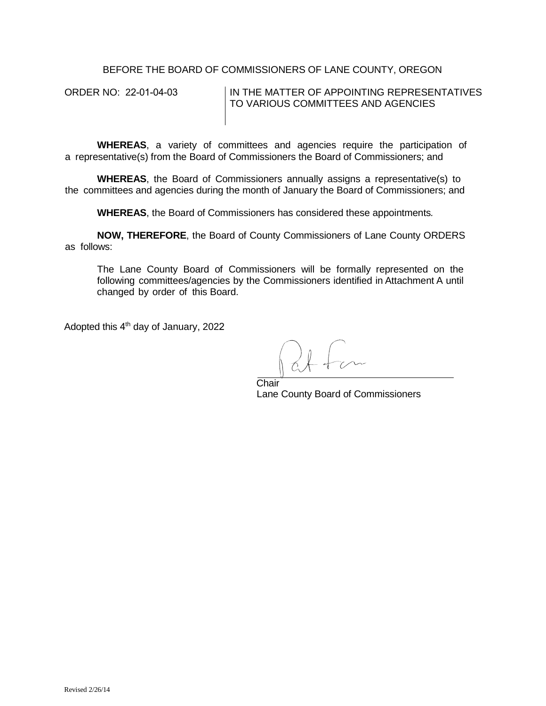BEFORE THE BOARD OF COMMISSIONERS OF LANE COUNTY, OREGON

ORDER NO: 22-01-04-03 IN THE MATTER OF APPOINTING REPRESENTATIVES TO VARIOUS COMMITTEES AND AGENCIES

**WHEREAS**, a variety of committees and agencies require the participation of a representative(s) from the Board of Commissioners the Board of Commissioners; and

**WHEREAS**, the Board of Commissioners annually assigns a representative(s) to the committees and agencies during the month of January the Board of Commissioners; and

**WHEREAS**, the Board of Commissioners has considered these appointments*.*

**NOW, THEREFORE**, the Board of County Commissioners of Lane County ORDERS as follows:

The Lane County Board of Commissioners will be formally represented on the following committees/agencies by the Commissioners identified in Attachment A until changed by order of this Board.

Adopted this 4<sup>th</sup> day of January, 2022

**Chair** Lane County Board of Commissioners